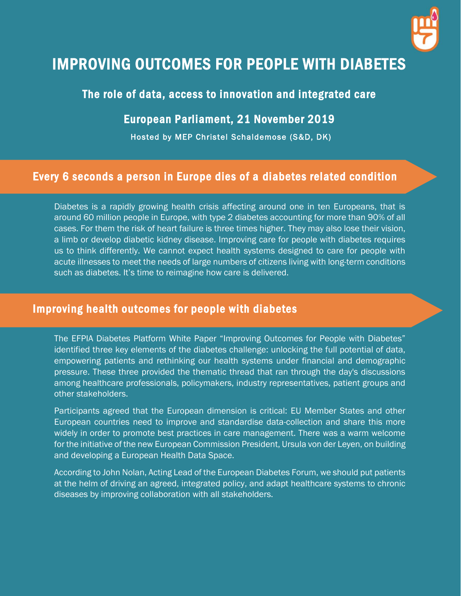

# IMPROVING OUTCOMES FOR PEOPLE WITH DIABETES

## The role of data, access to innovation and integrated care

#### European Parliament, 21 November 2019

Hosted by MEP Christel Schaldemose (S&D, DK)

## Every 6 seconds a person in Europe dies of a diabetes related condition

Diabetes is a rapidly growing health crisis affecting around one in ten Europeans, that is around 60 million people in Europe, with type 2 diabetes accounting for more than 90% of all cases. For them the risk of heart failure is three times higher. They may also lose their vision, a limb or develop diabetic kidney disease. Improving care for people with diabetes requires us to think differently. We cannot expect health systems designed to care for people with acute illnesses to meet the needs of large numbers of citizens living with long-term conditions such as diabetes. It's time to reimagine how care is delivered.

#### Improving health outcomes for people with diabetes

The EFPIA Diabetes Platform White Paper "Improving Outcomes for People with Diabetes" identified three key elements of the diabetes challenge: unlocking the full potential of data, empowering patients and rethinking our health systems under financial and demographic pressure. These three provided the thematic thread that ran through the day's discussions among healthcare professionals, policymakers, industry representatives, patient groups and other stakeholders.

Participants agreed that the European dimension is critical: EU Member States and other European countries need to improve and standardise data-collection and share this more widely in order to promote best practices in care management. There was a warm welcome for the initiative of the new European Commission President, Ursula von der Leyen, on building and developing a European Health Data Space.

According to John Nolan, Acting Lead of the European Diabetes Forum, we should put patients at the helm of driving an agreed, integrated policy, and adapt healthcare systems to chronic diseases by improving collaboration with all stakeholders.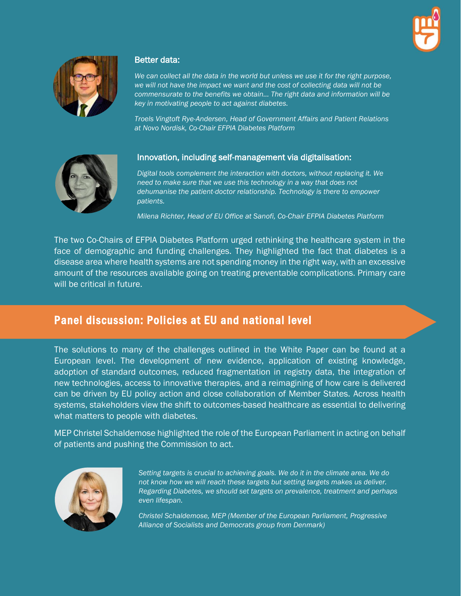



#### Better data:

*We can collect all the data in the world but unless we use it for the right purpose, we will not have the impact we want and the cost of collecting data will not be commensurate to the benefits we obtain... The right data and information will be key in motivating people to act against diabetes.* 

*Troels Vingtoft Rye-Andersen, Head of Government Affairs and Patient Relations at Novo Nordisk, Co-Chair EFPIA Diabetes Platform*



#### Innovation, including self-management via digitalisation:

*Digital tools complement the interaction with doctors, without replacing it. We need to make sure that we use this technology in a way that does not dehumanise the patient-doctor relationship. Technology is there to empower patients.*

*Milena Richter, Head of EU Office at Sanofi, Co-Chair EFPIA Diabetes Platform*

The two Co-Chairs of EFPIA Diabetes Platform urged rethinking the healthcare system in the face of demographic and funding challenges. They highlighted the fact that diabetes is a disease area where health systems are not spending money in the right way, with an excessive amount of the resources available going on treating preventable complications. Primary care will be critical in future.

## Panel discussion: Policies at EU and national level

The solutions to many of the challenges outlined in the White Paper can be found at a European level. The development of new evidence, application of existing knowledge, adoption of standard outcomes, reduced fragmentation in registry data, the integration of new technologies, access to innovative therapies, and a reimagining of how care is delivered can be driven by EU policy action and close collaboration of Member States. Across health systems, stakeholders view the shift to outcomes-based healthcare as essential to delivering what matters to people with diabetes.

MEP Christel Schaldemose highlighted the role of the European Parliament in acting on behalf of patients and pushing the Commission to act.



*Setting targets is crucial to achieving goals. We do it in the climate area. We do not know how we will reach these targets but setting targets makes us deliver. Regarding Diabetes, we should set targets on prevalence, treatment and perhaps even lifespan.*

*Christel Schaldemose, MEP (Member of the European Parliament, Progressive Alliance of Socialists and Democrats group from Denmark)*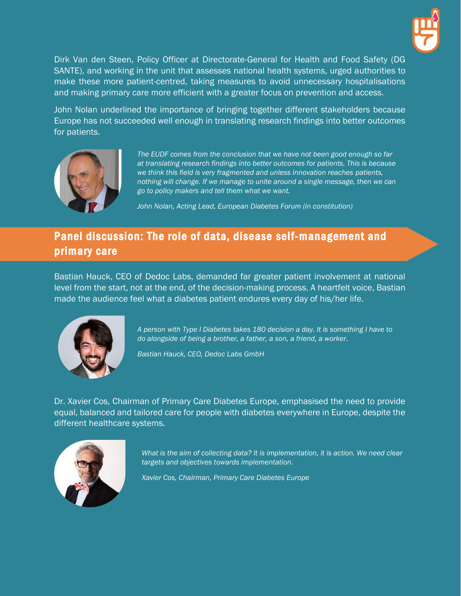

Dirk Van den Steen, Policy Officer at Directorate-General for Health and Food Safety (DG SANTE), and working in the unit that assesses national health systems, urged authorities to make these more patient-centred, taking measures to avoid unnecessary hospitalisations and making primary care more efficient with a greater focus on prevention and access.

John Nolan underlined the importance of bringing together different stakeholders because Europe has not succeeded well enough in translating research findings into better outcomes for patients.



*The EUDF comes from the conclusion that we have not been good enough so far at translating research findings into better outcomes for patients. This is because we think this field is very fragmented and unless innovation reaches patients, nothing will change. If we manage to unite around a single message, then we can go to policy makers and tell them what we want.*

*John Nolan, Acting Lead, European Diabetes Forum (in constitution)*

# Panel discussion: The role of data, disease self-management and primary care

Bastian Hauck, CEO of Dedoc Labs, demanded far greater patient involvement at national level from the start, not at the end, of the decision-making process. A heartfelt voice, Bastian made the audience feel what a diabetes patient endures every day of his/her life.



*A person with Type I Diabetes takes 180 decision a day. It is something I have to do alongside of being a brother, a father, a son, a friend, a worker.*

*Bastian Hauck, CEO, Dedoc Labs GmbH*

Dr. Xavier Cos, Chairman of Primary Care Diabetes Europe, emphasised the need to provide equal, balanced and tailored care for people with diabetes everywhere in Europe, despite the different healthcare systems.



*What is the aim of collecting data? It is implementation, it is action. We need clear targets and objectives towards implementation.*

*Xavier Cos, Chairman, Primary Care Diabetes Europe*